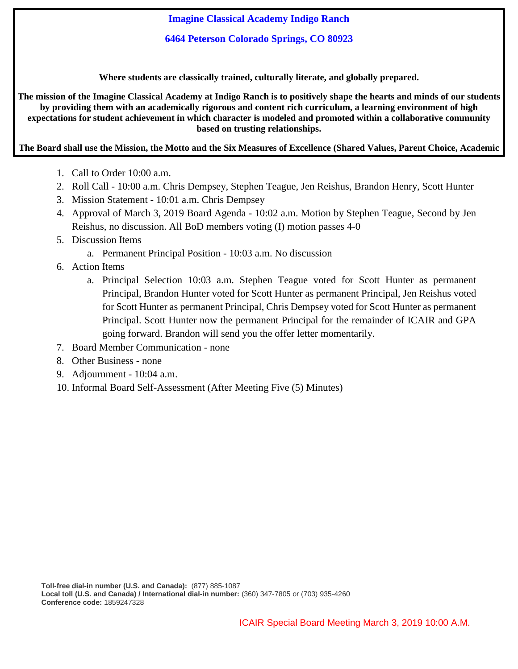**Imagine Classical Academy Indigo Ranch**

**6464 Peterson Colorado Springs, CO 80923**

**Where students are classically trained, culturally literate, and globally prepared.**

The mission of the Imagine Classical Academy at Indigo Ranch is to positively shape the hearts and minds of our students **by providing them with an academically rigorous and content rich curriculum, a learning environment of high expectations for student achievement in which character is modeled and promoted within a collaborative community based on trusting relationships.**

# The Board shall use the Mission, the Motto and the Six Measures of Excellence (Shared Values, Parent Choice, Academic **Growth, Character Education, Economic Sustainability, and School Development) as the filter for all decision making.**

- 1. Call to Order 10:00 a.m.
- 2. Roll Call 10:00 a.m. Chris Dempsey, Stephen Teague, Jen Reishus, Brandon Henry, Scott Hunter
- 3. Mission Statement 10:01 a.m. Chris Dempsey
- 4. Approval of March 3, 2019 Board Agenda 10:02 a.m. Motion by Stephen Teague, Second by Jen Reishus, no discussion. All BoD members voting (I) motion passes 4-0
- 5. Discussion Items
	- a. Permanent Principal Position 10:03 a.m. No discussion
- 6. Action Items
	- a. Principal Selection 10:03 a.m. Stephen Teague voted for Scott Hunter as permanent Principal, Brandon Hunter voted for Scott Hunter as permanent Principal, Jen Reishus voted for Scott Hunter as permanent Principal, Chris Dempsey voted for Scott Hunter as permanent Principal. Scott Hunter now the permanent Principal for the remainder of ICAIR and GPA going forward. Brandon will send you the offer letter momentarily.
- 7. Board Member Communication none
- 8. Other Business none
- 9. Adjournment 10:04 a.m.
- 10. Informal Board Self-Assessment (After Meeting Five (5) Minutes)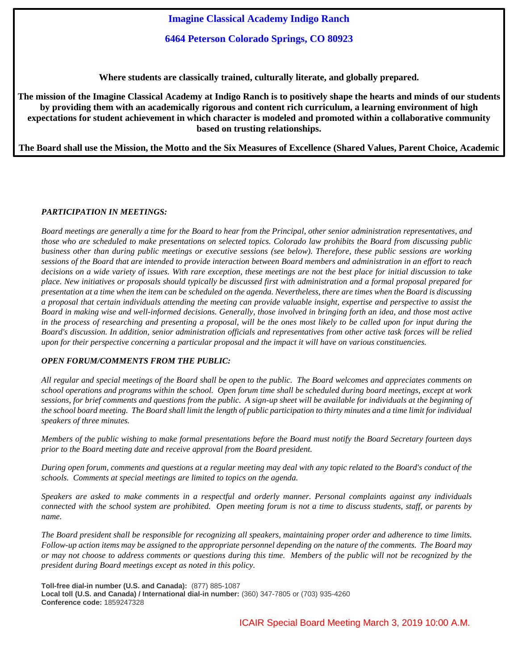**Imagine Classical Academy Indigo Ranch**

**6464 Peterson Colorado Springs, CO 80923**

**Where students are classically trained, culturally literate, and globally prepared.**

The mission of the Imagine Classical Academy at Indigo Ranch is to positively shape the hearts and minds of our students **by providing them with an academically rigorous and content rich curriculum, a learning environment of high expectations for student achievement in which character is modeled and promoted within a collaborative community based on trusting relationships.**

The Board shall use the Mission, the Motto and the Six Measures of Excellence (Shared Values, Parent Choice, Academic **Growth, Character Education, Economic Sustainability, and School Development) as the filter for all decision making.**

### *PARTICIPATION IN MEETINGS:*

Board meetings are generally a time for the Board to hear from the Principal, other senior administration representatives, and those who are scheduled to make presentations on selected topics. Colorado law prohibits the Board from discussing public business other than during public meetings or executive sessions (see below). Therefore, these public sessions are working sessions of the Board that are intended to provide interaction between Board members and administration in an effort to reach decisions on a wide variety of issues. With rare exception, these meetings are not the best place for initial discussion to take place. New initiatives or proposals should typically be discussed first with administration and a formal proposal prepared for presentation at a time when the item can be scheduled on the agenda. Nevertheless, there are times when the Board is discussing a proposal that certain individuals attending the meeting can provide valuable insight, expertise and perspective to assist the Board in making wise and well-informed decisions. Generally, those involved in bringing forth an idea, and those most active in the process of researching and presenting a proposal, will be the ones most likely to be called upon for input during the Board's discussion. In addition, senior administration officials and representatives from other active task forces will be relied upon for their perspective concerning a particular proposal and the impact it will have on various constituencies.

### *OPEN FORUM/COMMENTS FROM THE PUBLIC:*

All regular and special meetings of the Board shall be open to the public. The Board welcomes and appreciates comments on school operations and programs within the school. Open forum time shall be scheduled during board meetings, except at work sessions, for brief comments and questions from the public. A sign-up sheet will be available for individuals at the beginning of the school board meeting. The Board shall limit the length of public participation to thirty minutes and a time limit for individual *speakers of three minutes.*

Members of the public wishing to make formal presentations before the Board must notify the Board Secretary fourteen days *prior to the Board meeting date and receive approval from the Board president.* 

During open forum, comments and questions at a regular meeting may deal with any topic related to the Board's conduct of the *schools. Comments at special meetings are limited to topics on the agenda.* 

Speakers are asked to make comments in a respectful and orderly manner. Personal complaints against any individuals connected with the school system are prohibited. Open meeting forum is not a time to discuss students, staff, or parents by *name.*

The Board president shall be responsible for recognizing all speakers, maintaining proper order and adherence to time limits. Follow-up action items may be assigned to the appropriate personnel depending on the nature of the comments. The Board may or may not choose to address comments or questions during this time. Members of the public will not be recognized by the *president during Board meetings except as noted in this policy.*

**Toll-free dial-in number (U.S. and Canada):** (877) 885-1087 **Local toll (U.S. and Canada) / International dial-in number:** (360) 347-7805 or (703) 935-4260 **Conference code:** 1859247328